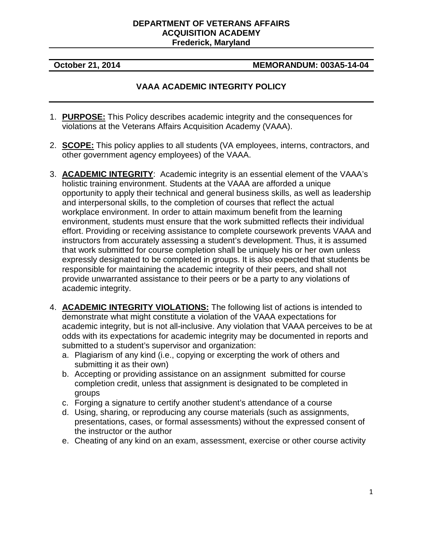## **DEPARTMENT OF VETERANS AFFAIRS ACQUISITION ACADEMY Frederick, Maryland**

## **October 21, 2014 MEMORANDUM: 003A5-14-04**

## **VAAA ACADEMIC INTEGRITY POLICY**

- 1. **PURPOSE:** This Policy describes academic integrity and the consequences for violations at the Veterans Affairs Acquisition Academy (VAAA).
- 2. **SCOPE:** This policy applies to all students (VA employees, interns, contractors, and other government agency employees) of the VAAA.
- 3. **ACADEMIC INTEGRITY**: Academic integrity is an essential element of the VAAA's holistic training environment. Students at the VAAA are afforded a unique opportunity to apply their technical and general business skills, as well as leadership and interpersonal skills, to the completion of courses that reflect the actual workplace environment. In order to attain maximum benefit from the learning environment, students must ensure that the work submitted reflects their individual effort. Providing or receiving assistance to complete coursework prevents VAAA and instructors from accurately assessing a student's development. Thus, it is assumed that work submitted for course completion shall be uniquely his or her own unless expressly designated to be completed in groups. It is also expected that students be responsible for maintaining the academic integrity of their peers, and shall not provide unwarranted assistance to their peers or be a party to any violations of academic integrity.
- 4. **ACADEMIC INTEGRITY VIOLATIONS:** The following list of actions is intended to demonstrate what might constitute a violation of the VAAA expectations for academic integrity, but is not all-inclusive. Any violation that VAAA perceives to be at odds with its expectations for academic integrity may be documented in reports and submitted to a student's supervisor and organization:
	- a. Plagiarism of any kind (i.e., copying or excerpting the work of others and submitting it as their own)
	- b. Accepting or providing assistance on an assignment submitted for course completion credit, unless that assignment is designated to be completed in groups
	- c. Forging a signature to certify another student's attendance of a course
	- d. Using, sharing, or reproducing any course materials (such as assignments, presentations, cases, or formal assessments) without the expressed consent of the instructor or the author
	- e. Cheating of any kind on an exam, assessment, exercise or other course activity